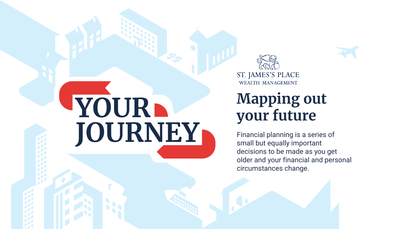## **Mapping out your future**

Financial planning is a series of small but equally important decisions to be made as you get older and your financial and personal circumstances change.







ST. JAMES'S PLACE WEALTH MANAGEMENT